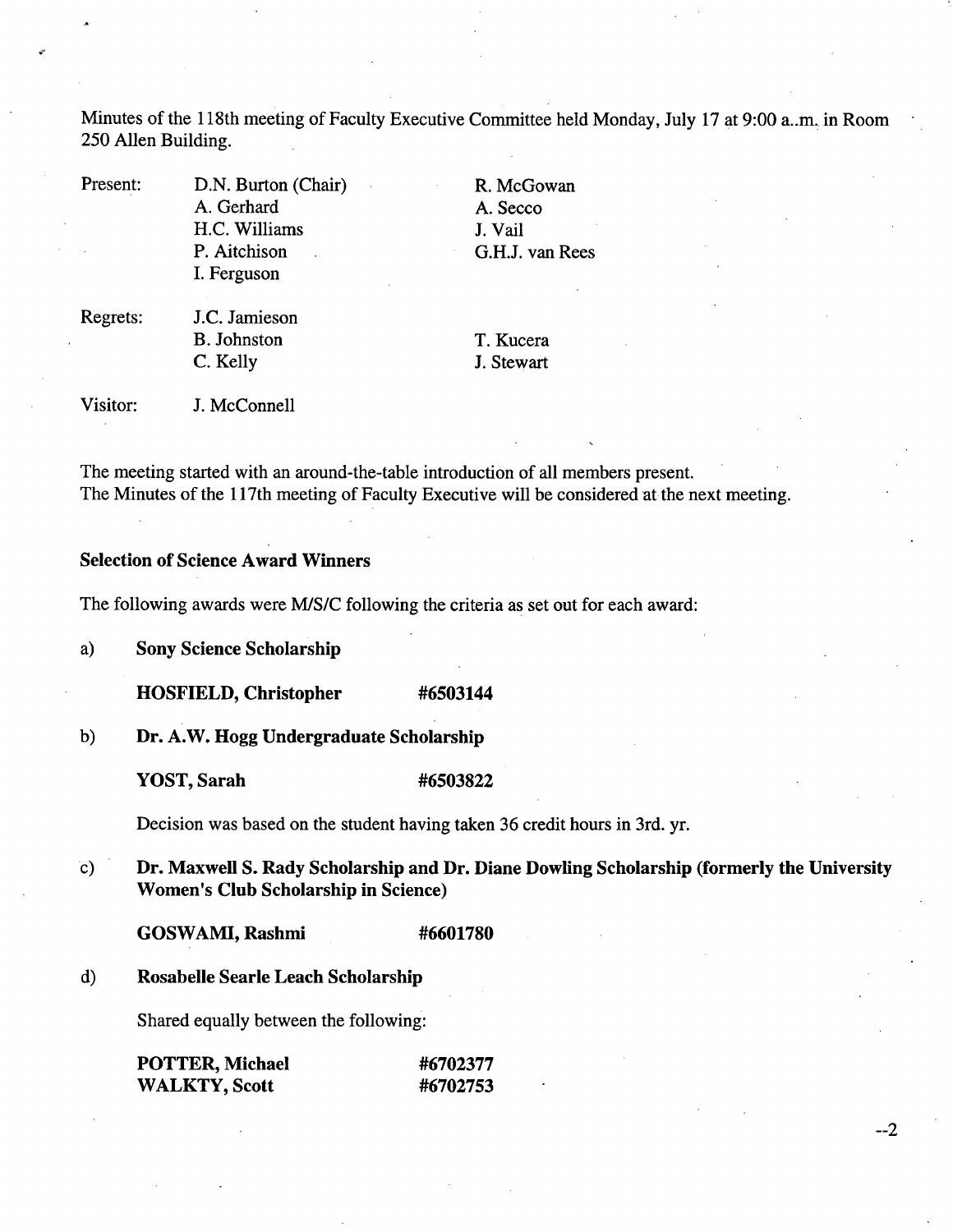Minutes of the 118th meeting of Faculty Executive Committee held Monday, July 17 at 9:00 a..m., in Room *250* Allen Building.

Present: D.N. Burton (Chair) A. Gerhard H.C. Williams P. Aitchison I. Ferguson

R. McGowan A. Secco J. Vail G.H.J. van Rees

Regrets: J.C. Jamieson B. Johnston C. Kelly

T. Kucera J. Stewart

Visitor: J. McConnell

The meeting started with an around-the-table introduction of all members present. The Minutes of the 117th meeting of Faculty Executive will be considered at the next meeting.

# **Selection of Science Award Winners**

The following awards were MIS/C following the criteria as set out for each award:

**Sony Science Scholarship**  a)

**HOSFIELD, Christopher #6503144** 

 $b)$ **Dr. A.W. Hogg Undergraduate Scholarship** 

**YOST, Sarah #6503822** 

Decision was based on the student having taken 36 credit hours in 3rd. yr.

**Dr. Maxwell S. Rady Scholarship and Dr. Diane Dowling Scholarship (formerly the University**   $\mathbf{c})$ **Women's Club Scholarship in Science)** 

--2

**GOSWAMI, Rashmi #6601780** 

**Rosabelle Searle Leach Scholarship**   $\mathbf{d}$ 

Shared equally between the following:

| POTTER, Michael      | #6702377 |
|----------------------|----------|
| <b>WALKTY, Scott</b> | #6702753 |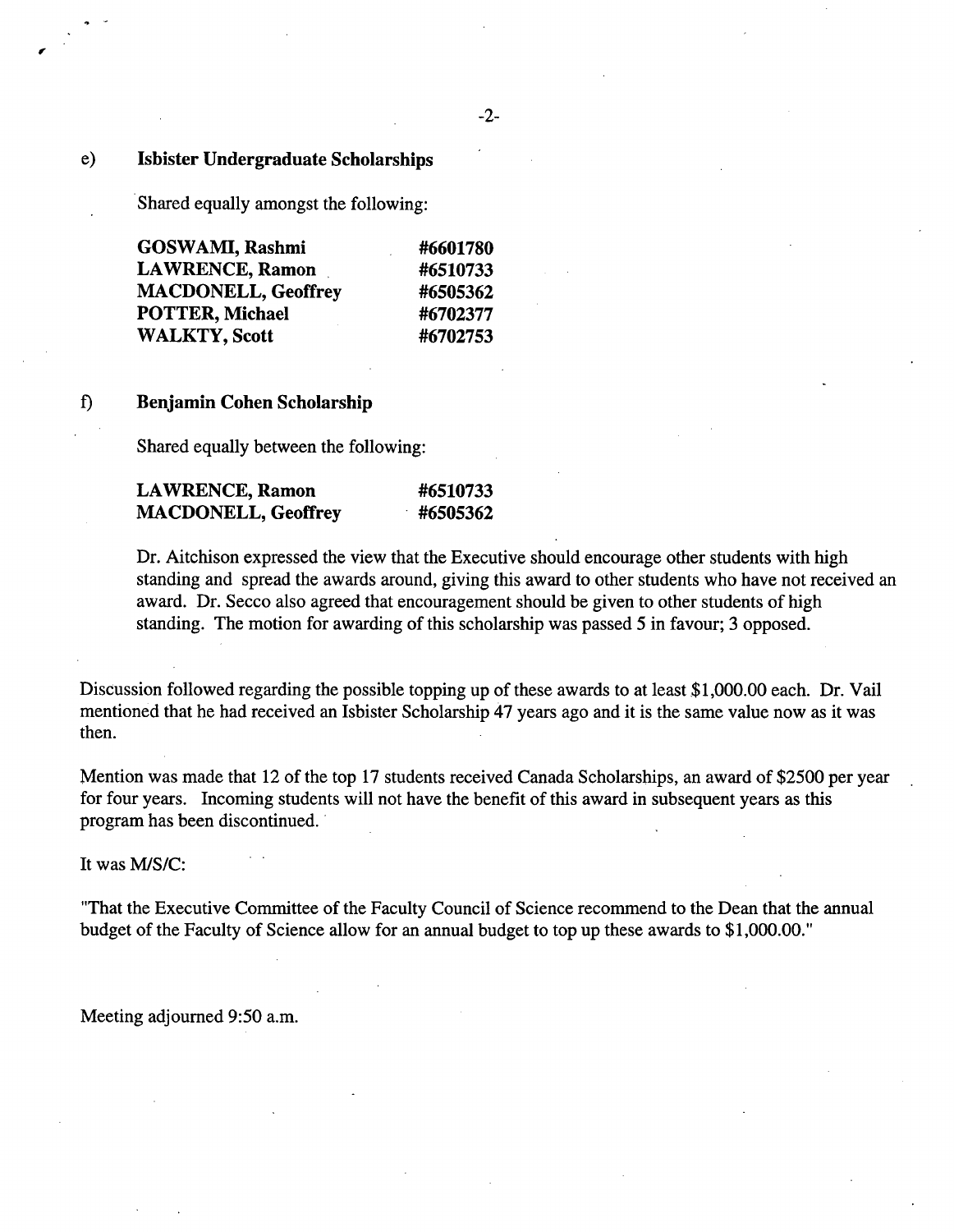### e) **Isbister Undergraduate Scholarships**

*Ir* 

Shared equally amongst the following:

| GOSWAMI, Rashmi            | #6601780 |
|----------------------------|----------|
| <b>LAWRENCE, Ramon</b>     | #6510733 |
| <b>MACDONELL, Geoffrey</b> | #6505362 |
| POTTER, Michael            | #6702377 |
| <b>WALKTY, Scott</b>       | #6702753 |

## 0 **Benjamin Cohen Scholarship**

Shared equally between the following:

| <b>LAWRENCE, Ramon</b>     | #6510733 |
|----------------------------|----------|
| <b>MACDONELL, Geoffrey</b> | #6505362 |

Dr. Aitchison expressed the view that the Executive should encourage other students with high standing and spread the awards around, giving this award to other students who have not received an award. Dr. Secco also agreed that encouragement should be given to other students of high standing. The motion for awarding of this scholarship was passed *5* in favour; 3 opposed.

Discussion followed regarding the possible topping up of these awards to at least \$1,000.00 each. Dr. Vail mentioned that he had received an Isbister Scholarship 47 years ago and it is the same value now as it was then.

Mention was made that 12 of the top 17 students received Canada Scholarships, an award of \$2500 per year for four years. Incoming students will not have the benefit of this award in subsequent years as this program has been discontinued.

It was M/S/C:

"That the Executive Committee of the Faculty Council of Science recommend to the Dean that the annual budget of the Faculty of Science allow for an annual budget to top up these awards to \$1,000.00."

Meeting adjourned *9:50* a.m.